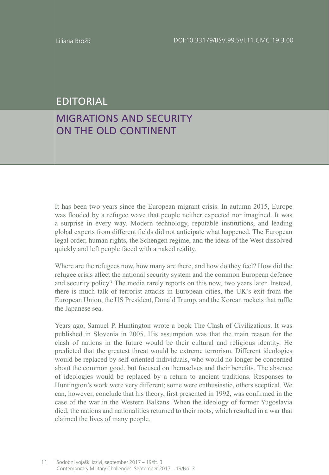## EDITORIAL

## MIGRATIONS AND SECURITY ON THE OLD CONTINENT

It has been two years since the European migrant crisis. In autumn 2015, Europe was flooded by a refugee wave that people neither expected nor imagined. It was a surprise in every way. Modern technology, reputable institutions, and leading global experts from different fields did not anticipate what happened. The European legal order, human rights, the Schengen regime, and the ideas of the West dissolved quickly and left people faced with a naked reality.

Where are the refugees now, how many are there, and how do they feel? How did the refugee crisis affect the national security system and the common European defence and security policy? The media rarely reports on this now, two years later. Instead, there is much talk of terrorist attacks in European cities, the UK's exit from the European Union, the US President, Donald Trump, and the Korean rockets that ruffle the Japanese sea.

Years ago, Samuel P. Huntington wrote a book The Clash of Civilizations. It was published in Slovenia in 2005. His assumption was that the main reason for the clash of nations in the future would be their cultural and religious identity. He predicted that the greatest threat would be extreme terrorism. Different ideologies would be replaced by self-oriented individuals, who would no longer be concerned about the common good, but focused on themselves and their benefits. The absence of ideologies would be replaced by a return to ancient traditions. Responses to Huntington's work were very different; some were enthusiastic, others sceptical. We can, however, conclude that his theory, first presented in 1992, was confirmed in the case of the war in the Western Balkans. When the ideology of former Yugoslavia died, the nations and nationalities returned to their roots, which resulted in a war that claimed the lives of many people.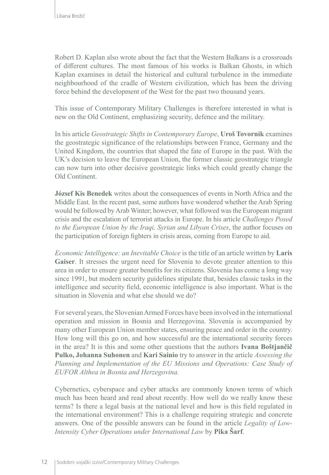Robert D. Kaplan also wrote about the fact that the Western Balkans is a crossroads of different cultures. The most famous of his works is Balkan Ghosts, in which Kaplan examines in detail the historical and cultural turbulence in the immediate neighbourhood of the cradle of Western civilization, which has been the driving force behind the development of the West for the past two thousand years.

This issue of Contemporary Military Challenges is therefore interested in what is new on the Old Continent, emphasizing security, defence and the military.

In his article *Geostrategic Shifts in Contemporary Europe*, **Uroš Tovornik** examines the geostrategic significance of the relationships between France, Germany and the United Kingdom, the countries that shaped the fate of Europe in the past. With the UK's decision to leave the European Union, the former classic geostrategic triangle can now turn into other decisive geostrategic links which could greatly change the Old Continent.

**József Kis Benedek** writes about the consequences of events in North Africa and the Middle East. In the recent past, some authors have wondered whether the Arab Spring would be followed by Arab Winter; however, what followed was the European migrant crisis and the escalation of terrorist attacks in Europe. In his article *Challenges Posed to the European Union by the Iraqi, Syrian and Libyan Crises*, the author focuses on the participation of foreign fighters in crisis areas, coming from Europe to aid.

*Economic Intelligence: an Inevitable Choice* is the title of an article written by **Laris Gaiser**. It stresses the urgent need for Slovenia to devote greater attention to this area in order to ensure greater benefits for its citizens. Slovenia has come a long way since 1991, but modern security guidelines stipulate that, besides classic tasks in the intelligence and security field, economic intelligence is also important. What is the situation in Slovenia and what else should we do?

For several years, the Slovenian Armed Forces have been involved in the international operation and mission in Bosnia and Herzegovina. Slovenia is accompanied by many other European Union member states, ensuring peace and order in the country. How long will this go on, and how successful are the international security forces in the area? It is this and some other questions that the authors **Ivana Boštjančič Pulko, Johanna Suhonen** and **Kari Sainio** try to answer in the article *Assessing the Planning and Implementation of the EU Missions and Operations: Case Study of EUFOR Althea in Bosnia and Herzegovina.*

Cybernetics, cyberspace and cyber attacks are commonly known terms of which much has been heard and read about recently. How well do we really know these terms? Is there a legal basis at the national level and how is this field regulated in the international environment? This is a challenge requiring strategic and concrete answers. One of the possible answers can be found in the article *Legality of Low-Intensity Cyber Operations under International Law* by **Pika Šarf**.